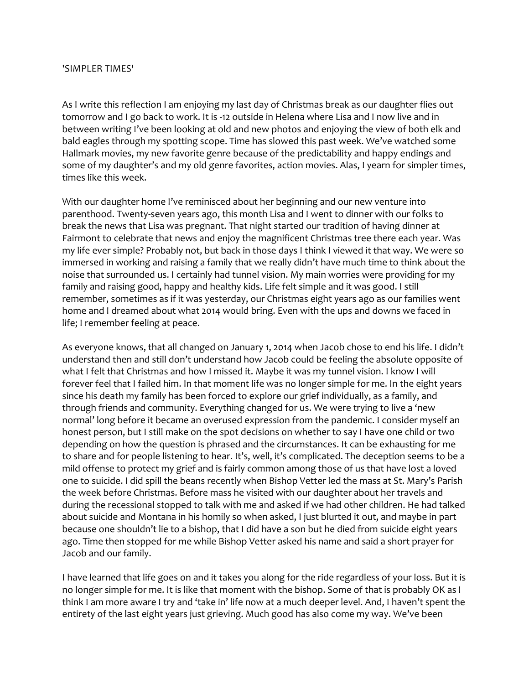## 'SIMPLER TIMES'

As I write this reflection I am enjoying my last day of Christmas break as our daughter flies out tomorrow and I go back to work. It is -12 outside in Helena where Lisa and I now live and in between writing I've been looking at old and new photos and enjoying the view of both elk and bald eagles through my spotting scope. Time has slowed this past week. We've watched some Hallmark movies, my new favorite genre because of the predictability and happy endings and some of my daughter's and my old genre favorites, action movies. Alas, I yearn for simpler times, times like this week.

With our daughter home I've reminisced about her beginning and our new venture into parenthood. Twenty-seven years ago, this month Lisa and I went to dinner with our folks to break the news that Lisa was pregnant. That night started our tradition of having dinner at Fairmont to celebrate that news and enjoy the magnificent Christmas tree there each year. Was my life ever simple? Probably not, but back in those days I think I viewed it that way. We were so immersed in working and raising a family that we really didn't have much time to think about the noise that surrounded us. I certainly had tunnel vision. My main worries were providing for my family and raising good, happy and healthy kids. Life felt simple and it was good. I still remember, sometimes as if it was yesterday, our Christmas eight years ago as our families went home and I dreamed about what 2014 would bring. Even with the ups and downs we faced in life; I remember feeling at peace.

As everyone knows, that all changed on January 1, 2014 when Jacob chose to end his life. I didn't understand then and still don't understand how Jacob could be feeling the absolute opposite of what I felt that Christmas and how I missed it. Maybe it was my tunnel vision. I know I will forever feel that I failed him. In that moment life was no longer simple for me. In the eight years since his death my family has been forced to explore our grief individually, as a family, and through friends and community. Everything changed for us. We were trying to live a 'new normal' long before it became an overused expression from the pandemic. I consider myself an honest person, but I still make on the spot decisions on whether to say I have one child or two depending on how the question is phrased and the circumstances. It can be exhausting for me to share and for people listening to hear. It's, well, it's complicated. The deception seems to be a mild offense to protect my grief and is fairly common among those of us that have lost a loved one to suicide. I did spill the beans recently when Bishop Vetter led the mass at St. Mary's Parish the week before Christmas. Before mass he visited with our daughter about her travels and during the recessional stopped to talk with me and asked if we had other children. He had talked about suicide and Montana in his homily so when asked, I just blurted it out, and maybe in part because one shouldn't lie to a bishop, that I did have a son but he died from suicide eight years ago. Time then stopped for me while Bishop Vetter asked his name and said a short prayer for Jacob and our family.

I have learned that life goes on and it takes you along for the ride regardless of your loss. But it is no longer simple for me. It is like that moment with the bishop. Some of that is probably OK as I think I am more aware I try and 'take in' life now at a much deeper level. And, I haven't spent the entirety of the last eight years just grieving. Much good has also come my way. We've been